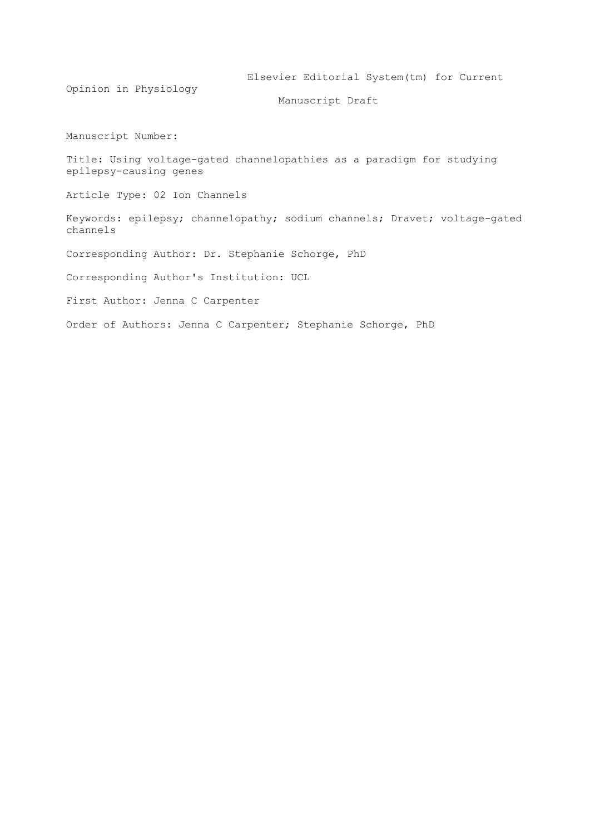Elsevier Editorial System(tm) for Current Opinion in Physiology Manuscript Draft Manuscript Number: Title: Using voltage-gated channelopathies as a paradigm for studying epilepsy-causing genes Article Type: 02 Ion Channels Keywords: epilepsy; channelopathy; sodium channels; Dravet; voltage-gated channels Corresponding Author: Dr. Stephanie Schorge, PhD Corresponding Author's Institution: UCL First Author: Jenna C Carpenter Order of Authors: Jenna C Carpenter; Stephanie Schorge, PhD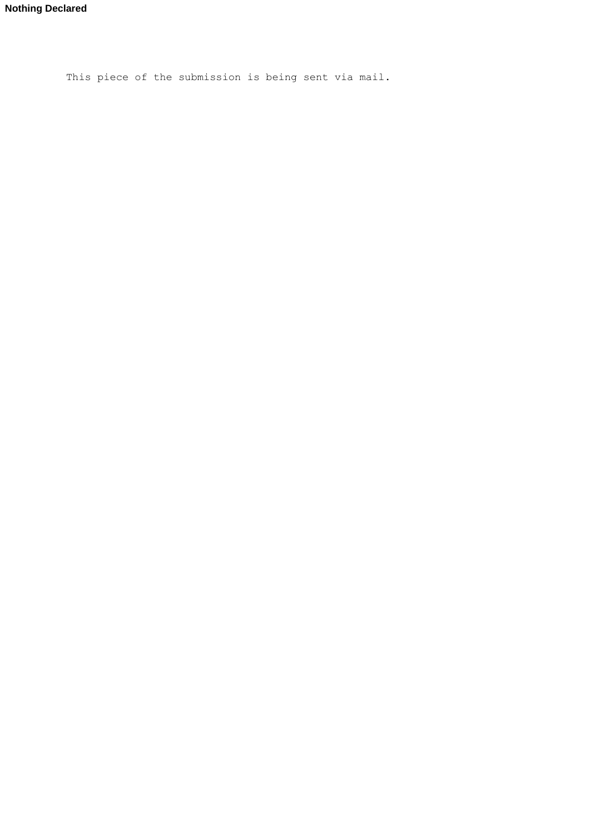This piece of the submission is being sent via mail.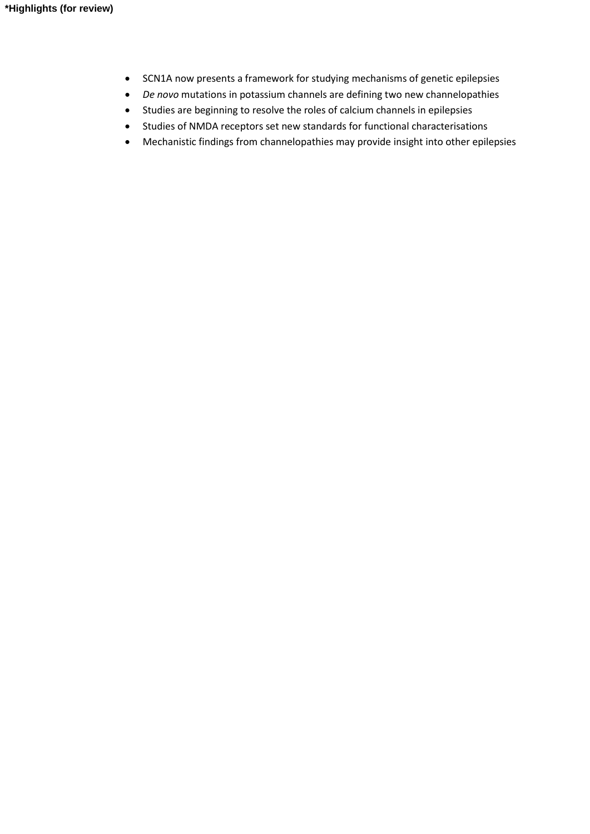- SCN1A now presents a framework for studying mechanisms of genetic epilepsies
- *De novo* mutations in potassium channels are defining two new channelopathies
- Studies are beginning to resolve the roles of calcium channels in epilepsies
- Studies of NMDA receptors set new standards for functional characterisations
- Mechanistic findings from channelopathies may provide insight into other epilepsies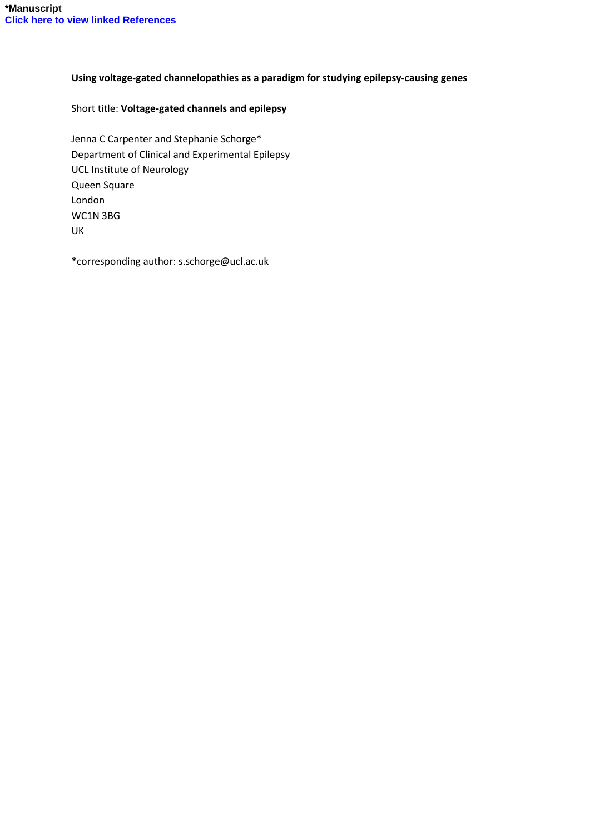### **Using voltage-gated channelopathies as a paradigm for studying epilepsy-causing genes**

### Short title: **Voltage-gated channels and epilepsy**

Jenna C Carpenter and Stephanie Schorge\* Department of Clinical and Experimental Epilepsy UCL Institute of Neurology Queen Square London WC1N 3BG UK

\*corresponding author: s.schorge@ucl.ac.uk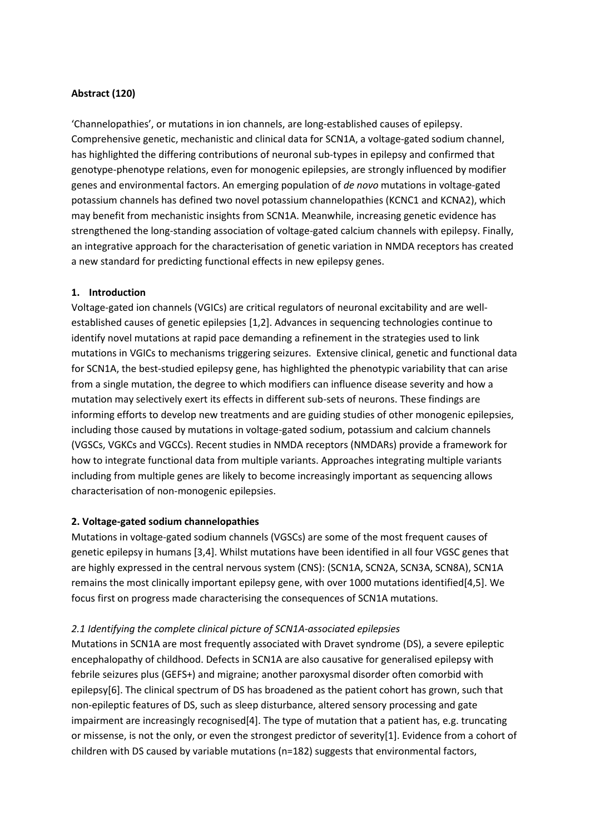# **Abstract (120)**

'Channelopathies', or mutations in ion channels, are long-established causes of epilepsy. Comprehensive genetic, mechanistic and clinical data for SCN1A, a voltage-gated sodium channel, has highlighted the differing contributions of neuronal sub-types in epilepsy and confirmed that genotype-phenotype relations, even for monogenic epilepsies, are strongly influenced by modifier genes and environmental factors. An emerging population of *de novo* mutations in voltage-gated potassium channels has defined two novel potassium channelopathies (KCNC1 and KCNA2), which may benefit from mechanistic insights from SCN1A. Meanwhile, increasing genetic evidence has strengthened the long-standing association of voltage-gated calcium channels with epilepsy. Finally, an integrative approach for the characterisation of genetic variation in NMDA receptors has created a new standard for predicting functional effects in new epilepsy genes.

#### **1. Introduction**

Voltage-gated ion channels (VGICs) are critical regulators of neuronal excitability and are wellestablished causes of genetic epilepsies [1,2]. Advances in sequencing technologies continue to identify novel mutations at rapid pace demanding a refinement in the strategies used to link mutations in VGICs to mechanisms triggering seizures. Extensive clinical, genetic and functional data for SCN1A, the best-studied epilepsy gene, has highlighted the phenotypic variability that can arise from a single mutation, the degree to which modifiers can influence disease severity and how a mutation may selectively exert its effects in different sub-sets of neurons. These findings are informing efforts to develop new treatments and are guiding studies of other monogenic epilepsies, including those caused by mutations in voltage-gated sodium, potassium and calcium channels (VGSCs, VGKCs and VGCCs). Recent studies in NMDA receptors (NMDARs) provide a framework for how to integrate functional data from multiple variants. Approaches integrating multiple variants including from multiple genes are likely to become increasingly important as sequencing allows characterisation of non-monogenic epilepsies.

#### **2. Voltage-gated sodium channelopathies**

Mutations in voltage-gated sodium channels (VGSCs) are some of the most frequent causes of genetic epilepsy in humans [3,4]. Whilst mutations have been identified in all four VGSC genes that are highly expressed in the central nervous system (CNS): (SCN1A, SCN2A, SCN3A, SCN8A), SCN1A remains the most clinically important epilepsy gene, with over 1000 mutations identified[4,5]. We focus first on progress made characterising the consequences of SCN1A mutations.

#### *2.1 Identifying the complete clinical picture of SCN1A-associated epilepsies*

Mutations in SCN1A are most frequently associated with Dravet syndrome (DS), a severe epileptic encephalopathy of childhood. Defects in SCN1A are also causative for generalised epilepsy with febrile seizures plus (GEFS+) and migraine; another paroxysmal disorder often comorbid with epilepsy[6]. The clinical spectrum of DS has broadened as the patient cohort has grown, such that non-epileptic features of DS, such as sleep disturbance, altered sensory processing and gate impairment are increasingly recognised[4]. The type of mutation that a patient has, e.g. truncating or missense, is not the only, or even the strongest predictor of severity[1]. Evidence from a cohort of children with DS caused by variable mutations (n=182) suggests that environmental factors,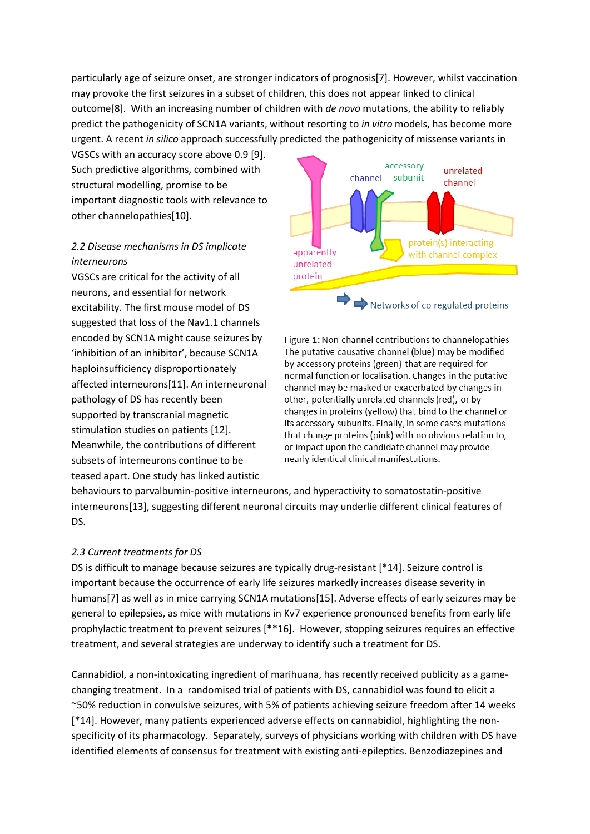particularly age of seizure onset, are stronger indicators of prognosis[7]. However, whilst vaccination may provoke the first seizures in a subset of children, this does not appear linked to clinical outcome[8]. With an increasing number of children with *de novo* mutations, the ability to reliably predict the pathogenicity of SCN1A variants, without resorting to *in vitro* models, has become more urgent. A recent *in silico* approach successfully predicted the pathogenicity of missense variants in

VGSCs with an accuracy score above 0.9 [9]. Such predictive algorithms, combined with structural modelling, promise to be important diagnostic tools with relevance to other channelopathies[10].

# *2.2 Disease mechanisms in DS implicate interneurons*

VGSCs are critical for the activity of all neurons, and essential for network excitability. The first mouse model of DS suggested that loss of the Nav1.1 channels encoded by SCN1A might cause seizures by 'inhibition of an inhibitor', because SCN1A haploinsufficiency disproportionately affected interneurons[11]. An interneuronal pathology of DS has recently been supported by transcranial magnetic stimulation studies on patients [12]. Meanwhile, the contributions of different subsets of interneurons continue to be teased apart. One study has linked autistic



Networks of co-regulated proteins

Figure 1: Non-channel contributions to channelopathies The putative causative channel (blue) may be modified by accessory proteins (green) that are required for normal function or localisation. Changes in the putative channel may be masked or exacerbated by changes in other, potentially unrelated channels (red), or by changes in proteins (yellow) that bind to the channel or its accessory subunits. Finally, in some cases mutations that change proteins (pink) with no obvious relation to, or impact upon the candidate channel may provide nearly identical clinical manifestations.

behaviours to parvalbumin-positive interneurons, and hyperactivity to somatostatin-positive interneurons[13], suggesting different neuronal circuits may underlie different clinical features of DS.

# *2.3 Current treatments for DS*

DS is difficult to manage because seizures are typically drug-resistant [\*14]. Seizure control is important because the occurrence of early life seizures markedly increases disease severity in humans[7] as well as in mice carrying SCN1A mutations[15]. Adverse effects of early seizures may be general to epilepsies, as mice with mutations in Kv7 experience pronounced benefits from early life prophylactic treatment to prevent seizures [\*\*16]. However, stopping seizures requires an effective treatment, and several strategies are underway to identify such a treatment for DS.

Cannabidiol, a non-intoxicating ingredient of marihuana, has recently received publicity as a gamechanging treatment. In a randomised trial of patients with DS, cannabidiol was found to elicit a ~50% reduction in convulsive seizures, with 5% of patients achieving seizure freedom after 14 weeks [\*14]. However, many patients experienced adverse effects on cannabidiol, highlighting the nonspecificity of its pharmacology. Separately, surveys of physicians working with children with DS have identified elements of consensus for treatment with existing anti-epileptics. Benzodiazepines and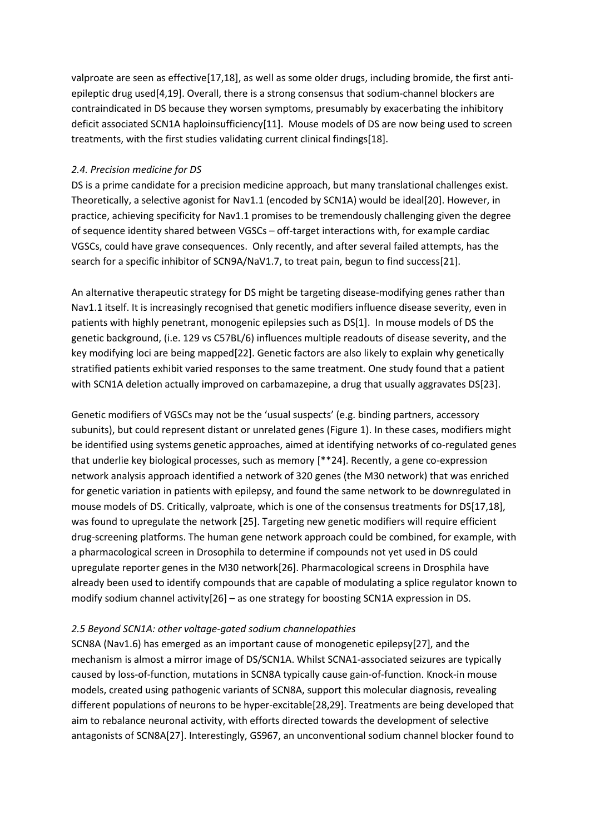valproate are seen as effective[17,18], as well as some older drugs, including bromide, the first antiepileptic drug used[4,19]. Overall, there is a strong consensus that sodium-channel blockers are contraindicated in DS because they worsen symptoms, presumably by exacerbating the inhibitory deficit associated SCN1A haploinsufficiency[11]. Mouse models of DS are now being used to screen treatments, with the first studies validating current clinical findings[18].

### *2.4. Precision medicine for DS*

DS is a prime candidate for a precision medicine approach, but many translational challenges exist. Theoretically, a selective agonist for Nav1.1 (encoded by SCN1A) would be ideal[20]. However, in practice, achieving specificity for Nav1.1 promises to be tremendously challenging given the degree of sequence identity shared between VGSCs – off-target interactions with, for example cardiac VGSCs, could have grave consequences. Only recently, and after several failed attempts, has the search for a specific inhibitor of SCN9A/NaV1.7, to treat pain, begun to find success[21].

An alternative therapeutic strategy for DS might be targeting disease-modifying genes rather than Nav1.1 itself. It is increasingly recognised that genetic modifiers influence disease severity, even in patients with highly penetrant, monogenic epilepsies such as DS[1]. In mouse models of DS the genetic background, (i.e. 129 vs C57BL/6) influences multiple readouts of disease severity, and the key modifying loci are being mapped[22]. Genetic factors are also likely to explain why genetically stratified patients exhibit varied responses to the same treatment. One study found that a patient with SCN1A deletion actually improved on carbamazepine, a drug that usually aggravates DS[23].

Genetic modifiers of VGSCs may not be the 'usual suspects' (e.g. binding partners, accessory subunits), but could represent distant or unrelated genes (Figure 1). In these cases, modifiers might be identified using systems genetic approaches, aimed at identifying networks of co-regulated genes that underlie key biological processes, such as memory [\*\*24]. Recently, a gene co-expression network analysis approach identified a network of 320 genes (the M30 network) that was enriched for genetic variation in patients with epilepsy, and found the same network to be downregulated in mouse models of DS. Critically, valproate, which is one of the consensus treatments for DS[17,18], was found to upregulate the network [25]. Targeting new genetic modifiers will require efficient drug-screening platforms. The human gene network approach could be combined, for example, with a pharmacological screen in Drosophila to determine if compounds not yet used in DS could upregulate reporter genes in the M30 network[26]. Pharmacological screens in Drosphila have already been used to identify compounds that are capable of modulating a splice regulator known to modify sodium channel activity[26] – as one strategy for boosting SCN1A expression in DS.

#### *2.5 Beyond SCN1A: other voltage-gated sodium channelopathies*

SCN8A (Nav1.6) has emerged as an important cause of monogenetic epilepsy[27], and the mechanism is almost a mirror image of DS/SCN1A. Whilst SCNA1-associated seizures are typically caused by loss-of-function, mutations in SCN8A typically cause gain-of-function. Knock-in mouse models, created using pathogenic variants of SCN8A, support this molecular diagnosis, revealing different populations of neurons to be hyper-excitable[28,29]. Treatments are being developed that aim to rebalance neuronal activity, with efforts directed towards the development of selective antagonists of SCN8A[27]. Interestingly, GS967, an unconventional sodium channel blocker found to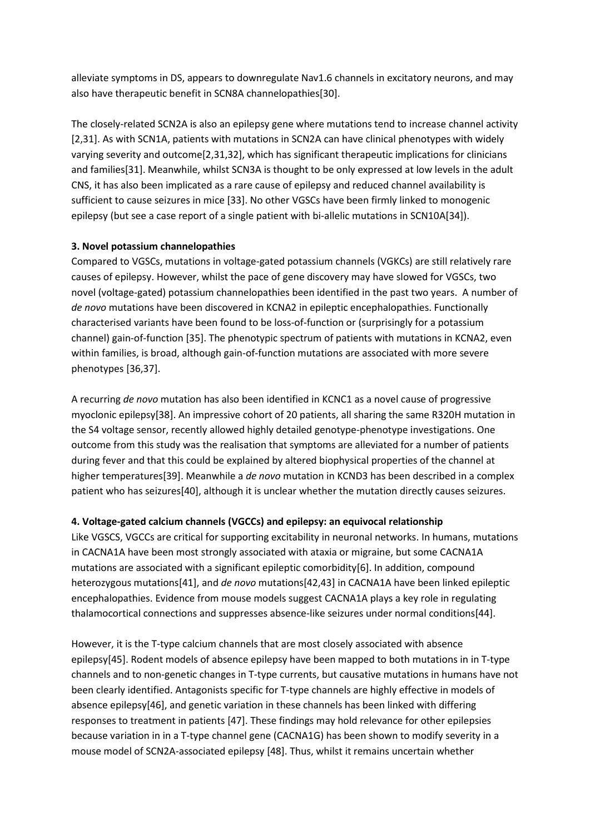alleviate symptoms in DS, appears to downregulate Nav1.6 channels in excitatory neurons, and may also have therapeutic benefit in SCN8A channelopathies[30].

The closely-related SCN2A is also an epilepsy gene where mutations tend to increase channel activity [2,31]. As with SCN1A, patients with mutations in SCN2A can have clinical phenotypes with widely varying severity and outcome[2,31,32], which has significant therapeutic implications for clinicians and families[31]. Meanwhile, whilst SCN3A is thought to be only expressed at low levels in the adult CNS, it has also been implicated as a rare cause of epilepsy and reduced channel availability is sufficient to cause seizures in mice [33]. No other VGSCs have been firmly linked to monogenic epilepsy (but see a case report of a single patient with bi-allelic mutations in SCN10A[34]).

# **3. Novel potassium channelopathies**

Compared to VGSCs, mutations in voltage-gated potassium channels (VGKCs) are still relatively rare causes of epilepsy. However, whilst the pace of gene discovery may have slowed for VGSCs, two novel (voltage-gated) potassium channelopathies been identified in the past two years. A number of *de novo* mutations have been discovered in KCNA2 in epileptic encephalopathies. Functionally characterised variants have been found to be loss-of-function or (surprisingly for a potassium channel) gain-of-function [35]. The phenotypic spectrum of patients with mutations in KCNA2, even within families, is broad, although gain-of-function mutations are associated with more severe phenotypes [36,37].

A recurring *de novo* mutation has also been identified in KCNC1 as a novel cause of progressive myoclonic epilepsy[38]. An impressive cohort of 20 patients, all sharing the same R320H mutation in the S4 voltage sensor, recently allowed highly detailed genotype-phenotype investigations. One outcome from this study was the realisation that symptoms are alleviated for a number of patients during fever and that this could be explained by altered biophysical properties of the channel at higher temperatures[39]. Meanwhile a *de novo* mutation in KCND3 has been described in a complex patient who has seizures[40], although it is unclear whether the mutation directly causes seizures.

# **4. Voltage-gated calcium channels (VGCCs) and epilepsy: an equivocal relationship**

Like VGSCS, VGCCs are critical for supporting excitability in neuronal networks. In humans, mutations in CACNA1A have been most strongly associated with ataxia or migraine, but some CACNA1A mutations are associated with a significant epileptic comorbidity[6]. In addition, compound heterozygous mutations[41], and *de novo* mutations[42,43] in CACNA1A have been linked epileptic encephalopathies. Evidence from mouse models suggest CACNA1A plays a key role in regulating thalamocortical connections and suppresses absence-like seizures under normal conditions[44].

However, it is the T-type calcium channels that are most closely associated with absence epilepsy[45]. Rodent models of absence epilepsy have been mapped to both mutations in in T-type channels and to non-genetic changes in T-type currents, but causative mutations in humans have not been clearly identified. Antagonists specific for T-type channels are highly effective in models of absence epilepsy[46], and genetic variation in these channels has been linked with differing responses to treatment in patients [47]. These findings may hold relevance for other epilepsies because variation in in a T-type channel gene (CACNA1G) has been shown to modify severity in a mouse model of SCN2A-associated epilepsy [48]. Thus, whilst it remains uncertain whether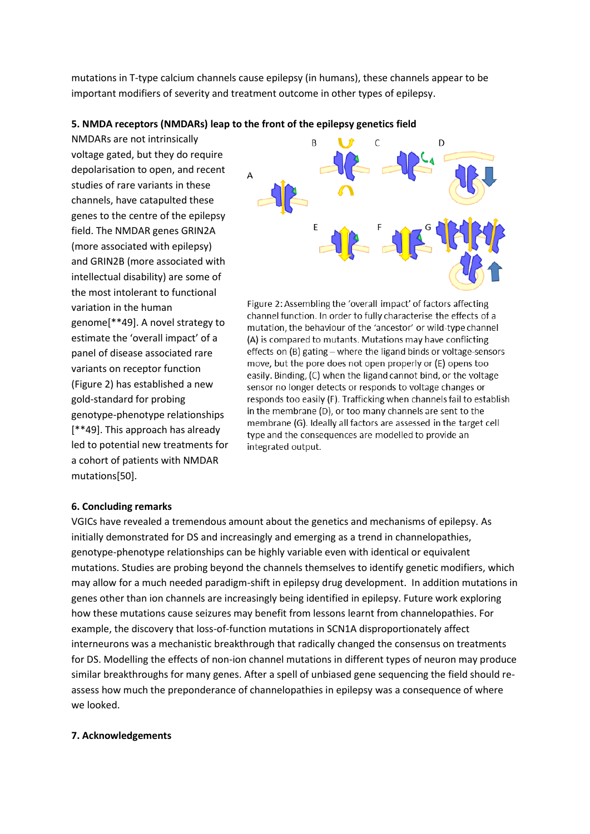mutations in T-type calcium channels cause epilepsy (in humans), these channels appear to be important modifiers of severity and treatment outcome in other types of epilepsy.

#### **5. NMDA receptors (NMDARs) leap to the front of the epilepsy genetics field**

NMDARs are not intrinsically voltage gated, but they do require depolarisation to open, and recent studies of rare variants in these channels, have catapulted these genes to the centre of the epilepsy field. The NMDAR genes GRIN2A (more associated with epilepsy) and GRIN2B (more associated with intellectual disability) are some of the most intolerant to functional variation in the human genome[\*\*49]. A novel strategy to estimate the 'overall impact' of a panel of disease associated rare variants on receptor function (Figure 2) has established a new gold-standard for probing genotype-phenotype relationships [\*\*49]. This approach has already led to potential new treatments for a cohort of patients with NMDAR mutations[50].



Figure 2: Assembling the 'overall impact' of factors affecting channel function. In order to fully characterise the effects of a mutation, the behaviour of the 'ancestor' or wild-type channel (A) is compared to mutants. Mutations may have conflicting effects on (B) gating - where the ligand binds or voltage-sensors move, but the pore does not open properly or (E) opens too easily. Binding, (C) when the ligand cannot bind, or the voltage sensor no longer detects or responds to voltage changes or responds too easily (F). Trafficking when channels fail to establish in the membrane (D), or too many channels are sent to the membrane (G). Ideally all factors are assessed in the target cell type and the consequences are modelled to provide an integrated output.

#### **6. Concluding remarks**

VGICs have revealed a tremendous amount about the genetics and mechanisms of epilepsy. As initially demonstrated for DS and increasingly and emerging as a trend in channelopathies, genotype-phenotype relationships can be highly variable even with identical or equivalent mutations. Studies are probing beyond the channels themselves to identify genetic modifiers, which may allow for a much needed paradigm-shift in epilepsy drug development. In addition mutations in genes other than ion channels are increasingly being identified in epilepsy. Future work exploring how these mutations cause seizures may benefit from lessons learnt from channelopathies. For example, the discovery that loss-of-function mutations in SCN1A disproportionately affect interneurons was a mechanistic breakthrough that radically changed the consensus on treatments for DS. Modelling the effects of non-ion channel mutations in different types of neuron may produce similar breakthroughs for many genes. After a spell of unbiased gene sequencing the field should reassess how much the preponderance of channelopathies in epilepsy was a consequence of where we looked.

#### **7. Acknowledgements**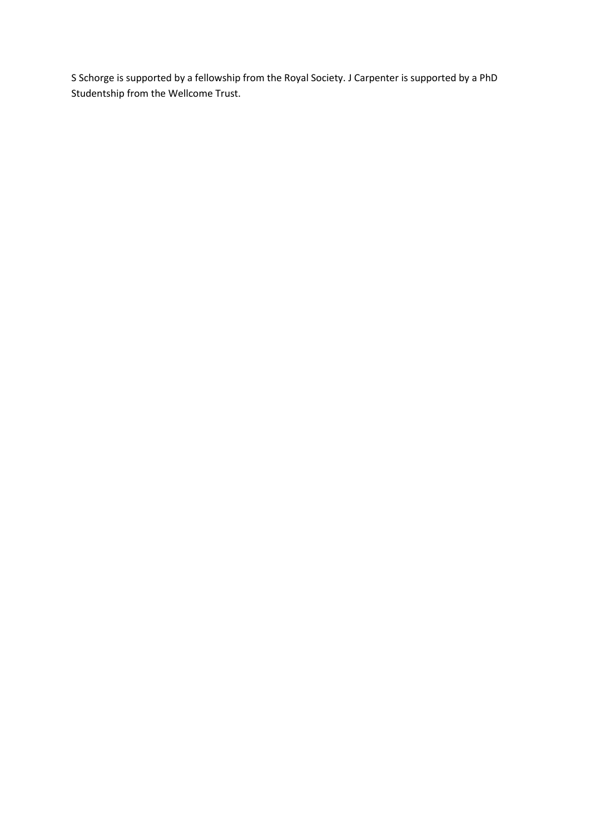S Schorge is supported by a fellowship from the Royal Society. J Carpenter is supported by a PhD Studentship from the Wellcome Trust.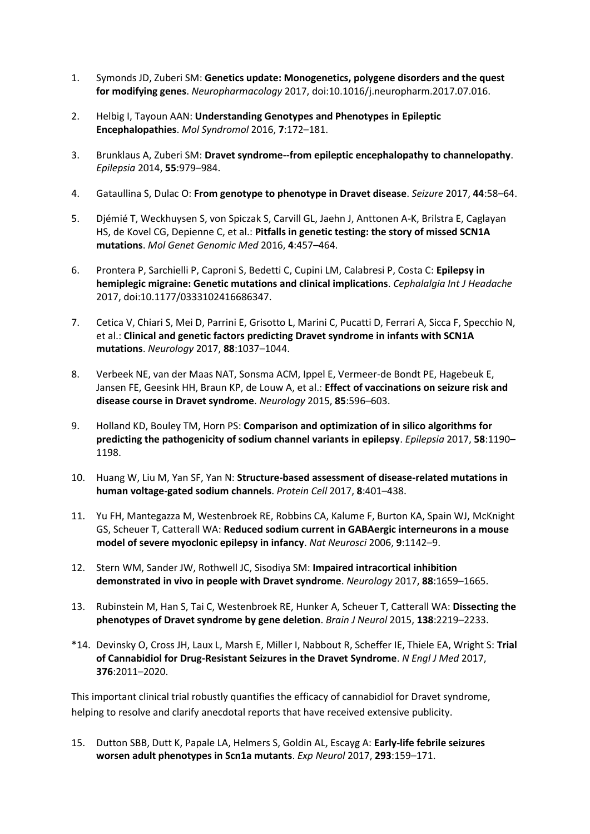- 1. Symonds JD, Zuberi SM: **Genetics update: Monogenetics, polygene disorders and the quest for modifying genes**. *Neuropharmacology* 2017, doi:10.1016/j.neuropharm.2017.07.016.
- 2. Helbig I, Tayoun AAN: **Understanding Genotypes and Phenotypes in Epileptic Encephalopathies**. *Mol Syndromol* 2016, **7**:172–181.
- 3. Brunklaus A, Zuberi SM: **Dravet syndrome--from epileptic encephalopathy to channelopathy**. *Epilepsia* 2014, **55**:979–984.
- 4. Gataullina S, Dulac O: **From genotype to phenotype in Dravet disease**. *Seizure* 2017, **44**:58–64.
- 5. Djémié T, Weckhuysen S, von Spiczak S, Carvill GL, Jaehn J, Anttonen A-K, Brilstra E, Caglayan HS, de Kovel CG, Depienne C, et al.: **Pitfalls in genetic testing: the story of missed SCN1A mutations**. *Mol Genet Genomic Med* 2016, **4**:457–464.
- 6. Prontera P, Sarchielli P, Caproni S, Bedetti C, Cupini LM, Calabresi P, Costa C: **Epilepsy in hemiplegic migraine: Genetic mutations and clinical implications**. *Cephalalgia Int J Headache* 2017, doi:10.1177/0333102416686347.
- 7. Cetica V, Chiari S, Mei D, Parrini E, Grisotto L, Marini C, Pucatti D, Ferrari A, Sicca F, Specchio N, et al.: **Clinical and genetic factors predicting Dravet syndrome in infants with SCN1A mutations**. *Neurology* 2017, **88**:1037–1044.
- 8. Verbeek NE, van der Maas NAT, Sonsma ACM, Ippel E, Vermeer-de Bondt PE, Hagebeuk E, Jansen FE, Geesink HH, Braun KP, de Louw A, et al.: **Effect of vaccinations on seizure risk and disease course in Dravet syndrome**. *Neurology* 2015, **85**:596–603.
- 9. Holland KD, Bouley TM, Horn PS: **Comparison and optimization of in silico algorithms for predicting the pathogenicity of sodium channel variants in epilepsy**. *Epilepsia* 2017, **58**:1190– 1198.
- 10. Huang W, Liu M, Yan SF, Yan N: **Structure-based assessment of disease-related mutations in human voltage-gated sodium channels**. *Protein Cell* 2017, **8**:401–438.
- 11. Yu FH, Mantegazza M, Westenbroek RE, Robbins CA, Kalume F, Burton KA, Spain WJ, McKnight GS, Scheuer T, Catterall WA: **Reduced sodium current in GABAergic interneurons in a mouse model of severe myoclonic epilepsy in infancy**. *Nat Neurosci* 2006, **9**:1142–9.
- 12. Stern WM, Sander JW, Rothwell JC, Sisodiya SM: **Impaired intracortical inhibition demonstrated in vivo in people with Dravet syndrome**. *Neurology* 2017, **88**:1659–1665.
- 13. Rubinstein M, Han S, Tai C, Westenbroek RE, Hunker A, Scheuer T, Catterall WA: **Dissecting the phenotypes of Dravet syndrome by gene deletion**. *Brain J Neurol* 2015, **138**:2219–2233.
- \*14. Devinsky O, Cross JH, Laux L, Marsh E, Miller I, Nabbout R, Scheffer IE, Thiele EA, Wright S: **Trial of Cannabidiol for Drug-Resistant Seizures in the Dravet Syndrome**. *N Engl J Med* 2017, **376**:2011–2020.

This important clinical trial robustly quantifies the efficacy of cannabidiol for Dravet syndrome, helping to resolve and clarify anecdotal reports that have received extensive publicity.

15. Dutton SBB, Dutt K, Papale LA, Helmers S, Goldin AL, Escayg A: **Early-life febrile seizures worsen adult phenotypes in Scn1a mutants**. *Exp Neurol* 2017, **293**:159–171.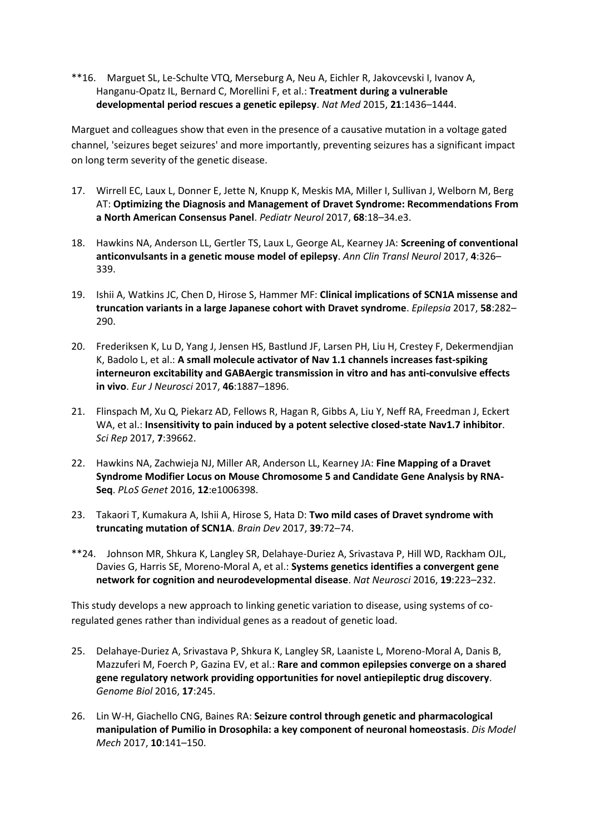\*\*16. Marguet SL, Le-Schulte VTQ, Merseburg A, Neu A, Eichler R, Jakovcevski I, Ivanov A, Hanganu-Opatz IL, Bernard C, Morellini F, et al.: **Treatment during a vulnerable developmental period rescues a genetic epilepsy**. *Nat Med* 2015, **21**:1436–1444.

Marguet and colleagues show that even in the presence of a causative mutation in a voltage gated channel, 'seizures beget seizures' and more importantly, preventing seizures has a significant impact on long term severity of the genetic disease.

- 17. Wirrell EC, Laux L, Donner E, Jette N, Knupp K, Meskis MA, Miller I, Sullivan J, Welborn M, Berg AT: **Optimizing the Diagnosis and Management of Dravet Syndrome: Recommendations From a North American Consensus Panel**. *Pediatr Neurol* 2017, **68**:18–34.e3.
- 18. Hawkins NA, Anderson LL, Gertler TS, Laux L, George AL, Kearney JA: **Screening of conventional anticonvulsants in a genetic mouse model of epilepsy**. *Ann Clin Transl Neurol* 2017, **4**:326– 339.
- 19. Ishii A, Watkins JC, Chen D, Hirose S, Hammer MF: **Clinical implications of SCN1A missense and truncation variants in a large Japanese cohort with Dravet syndrome**. *Epilepsia* 2017, **58**:282– 290.
- 20. Frederiksen K, Lu D, Yang J, Jensen HS, Bastlund JF, Larsen PH, Liu H, Crestey F, Dekermendjian K, Badolo L, et al.: **A small molecule activator of Nav 1.1 channels increases fast-spiking interneuron excitability and GABAergic transmission in vitro and has anti-convulsive effects in vivo**. *Eur J Neurosci* 2017, **46**:1887–1896.
- 21. Flinspach M, Xu Q, Piekarz AD, Fellows R, Hagan R, Gibbs A, Liu Y, Neff RA, Freedman J, Eckert WA, et al.: **Insensitivity to pain induced by a potent selective closed-state Nav1.7 inhibitor**. *Sci Rep* 2017, **7**:39662.
- 22. Hawkins NA, Zachwieja NJ, Miller AR, Anderson LL, Kearney JA: **Fine Mapping of a Dravet Syndrome Modifier Locus on Mouse Chromosome 5 and Candidate Gene Analysis by RNA-Seq**. *PLoS Genet* 2016, **12**:e1006398.
- 23. Takaori T, Kumakura A, Ishii A, Hirose S, Hata D: **Two mild cases of Dravet syndrome with truncating mutation of SCN1A**. *Brain Dev* 2017, **39**:72–74.
- \*\*24. Johnson MR, Shkura K, Langley SR, Delahaye-Duriez A, Srivastava P, Hill WD, Rackham OJL, Davies G, Harris SE, Moreno-Moral A, et al.: **Systems genetics identifies a convergent gene network for cognition and neurodevelopmental disease**. *Nat Neurosci* 2016, **19**:223–232.

This study develops a new approach to linking genetic variation to disease, using systems of coregulated genes rather than individual genes as a readout of genetic load.

- 25. Delahaye-Duriez A, Srivastava P, Shkura K, Langley SR, Laaniste L, Moreno-Moral A, Danis B, Mazzuferi M, Foerch P, Gazina EV, et al.: **Rare and common epilepsies converge on a shared gene regulatory network providing opportunities for novel antiepileptic drug discovery**. *Genome Biol* 2016, **17**:245.
- 26. Lin W-H, Giachello CNG, Baines RA: **Seizure control through genetic and pharmacological manipulation of Pumilio in Drosophila: a key component of neuronal homeostasis**. *Dis Model Mech* 2017, **10**:141–150.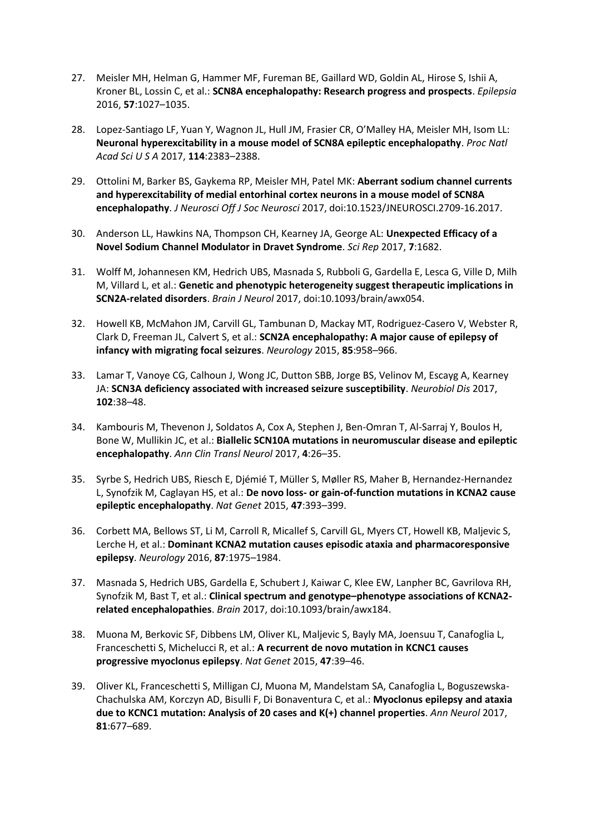- 27. Meisler MH, Helman G, Hammer MF, Fureman BE, Gaillard WD, Goldin AL, Hirose S, Ishii A, Kroner BL, Lossin C, et al.: **SCN8A encephalopathy: Research progress and prospects**. *Epilepsia* 2016, **57**:1027–1035.
- 28. Lopez-Santiago LF, Yuan Y, Wagnon JL, Hull JM, Frasier CR, O'Malley HA, Meisler MH, Isom LL: **Neuronal hyperexcitability in a mouse model of SCN8A epileptic encephalopathy**. *Proc Natl Acad Sci U S A* 2017, **114**:2383–2388.
- 29. Ottolini M, Barker BS, Gaykema RP, Meisler MH, Patel MK: **Aberrant sodium channel currents and hyperexcitability of medial entorhinal cortex neurons in a mouse model of SCN8A encephalopathy**. *J Neurosci Off J Soc Neurosci* 2017, doi:10.1523/JNEUROSCI.2709-16.2017.
- 30. Anderson LL, Hawkins NA, Thompson CH, Kearney JA, George AL: **Unexpected Efficacy of a Novel Sodium Channel Modulator in Dravet Syndrome**. *Sci Rep* 2017, **7**:1682.
- 31. Wolff M, Johannesen KM, Hedrich UBS, Masnada S, Rubboli G, Gardella E, Lesca G, Ville D, Milh M, Villard L, et al.: **Genetic and phenotypic heterogeneity suggest therapeutic implications in SCN2A-related disorders**. *Brain J Neurol* 2017, doi:10.1093/brain/awx054.
- 32. Howell KB, McMahon JM, Carvill GL, Tambunan D, Mackay MT, Rodriguez-Casero V, Webster R, Clark D, Freeman JL, Calvert S, et al.: **SCN2A encephalopathy: A major cause of epilepsy of infancy with migrating focal seizures**. *Neurology* 2015, **85**:958–966.
- 33. Lamar T, Vanoye CG, Calhoun J, Wong JC, Dutton SBB, Jorge BS, Velinov M, Escayg A, Kearney JA: **SCN3A deficiency associated with increased seizure susceptibility**. *Neurobiol Dis* 2017, **102**:38–48.
- 34. Kambouris M, Thevenon J, Soldatos A, Cox A, Stephen J, Ben-Omran T, Al-Sarraj Y, Boulos H, Bone W, Mullikin JC, et al.: **Biallelic SCN10A mutations in neuromuscular disease and epileptic encephalopathy**. *Ann Clin Transl Neurol* 2017, **4**:26–35.
- 35. Syrbe S, Hedrich UBS, Riesch E, Djémié T, Müller S, Møller RS, Maher B, Hernandez-Hernandez L, Synofzik M, Caglayan HS, et al.: **De novo loss- or gain-of-function mutations in KCNA2 cause epileptic encephalopathy**. *Nat Genet* 2015, **47**:393–399.
- 36. Corbett MA, Bellows ST, Li M, Carroll R, Micallef S, Carvill GL, Myers CT, Howell KB, Maljevic S, Lerche H, et al.: **Dominant KCNA2 mutation causes episodic ataxia and pharmacoresponsive epilepsy**. *Neurology* 2016, **87**:1975–1984.
- 37. Masnada S, Hedrich UBS, Gardella E, Schubert J, Kaiwar C, Klee EW, Lanpher BC, Gavrilova RH, Synofzik M, Bast T, et al.: **Clinical spectrum and genotype–phenotype associations of KCNA2 related encephalopathies**. *Brain* 2017, doi:10.1093/brain/awx184.
- 38. Muona M, Berkovic SF, Dibbens LM, Oliver KL, Maljevic S, Bayly MA, Joensuu T, Canafoglia L, Franceschetti S, Michelucci R, et al.: **A recurrent de novo mutation in KCNC1 causes progressive myoclonus epilepsy**. *Nat Genet* 2015, **47**:39–46.
- 39. Oliver KL, Franceschetti S, Milligan CJ, Muona M, Mandelstam SA, Canafoglia L, Boguszewska-Chachulska AM, Korczyn AD, Bisulli F, Di Bonaventura C, et al.: **Myoclonus epilepsy and ataxia due to KCNC1 mutation: Analysis of 20 cases and K(+) channel properties**. *Ann Neurol* 2017, **81**:677–689.